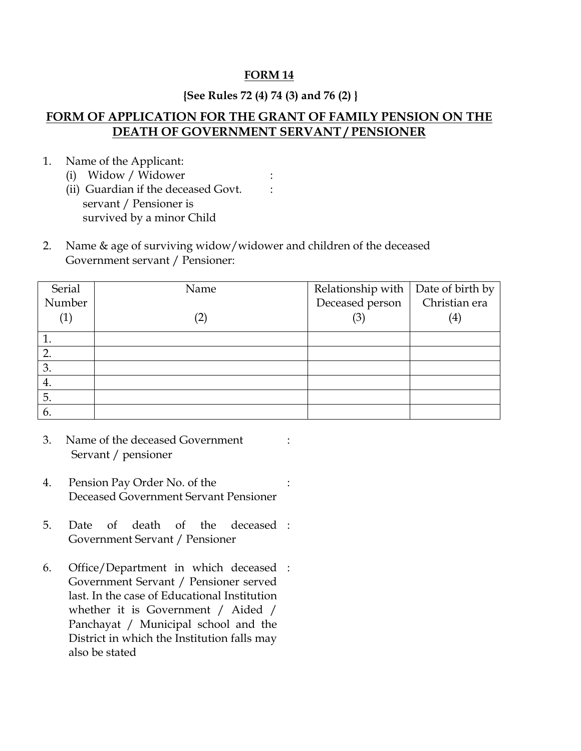### **FORM 14**

## **{See Rules 72 (4) 74 (3) and 76 (2) }**

# **FORM OF APPLICATION FOR THE GRANT OF FAMILY PENSION ON THE DEATH OF GOVERNMENT SERVANT / PENSIONER**

: :

- 1. Name of the Applicant:
	- (i) Widow / Widower
	- (ii) Guardian if the deceased Govt. servant / Pensioner is survived by a minor Child
- 2. Name & age of surviving widow/widower and children of the deceased Government servant / Pensioner:

| Serial  | Name              | Relationship with $\vert$ Date of birth by |                   |
|---------|-------------------|--------------------------------------------|-------------------|
| Number  |                   | Deceased person                            | Christian era     |
| $\perp$ | $\left( 2\right)$ | (3)                                        | $\left( 4\right)$ |
|         |                   |                                            |                   |
| 2.      |                   |                                            |                   |
| 3.      |                   |                                            |                   |
| 4.      |                   |                                            |                   |
| 5.      |                   |                                            |                   |
| 6.      |                   |                                            |                   |

:

:

- 3. Name of the deceased Government Servant / pensioner
- 4. Pension Pay Order No. of the Deceased Government Servant Pensioner
- 5. Date of death of the Government Servant / Pensioner deceased :
- 6. Office/Department in which deceased : Government Servant / Pensioner served last. In the case of Educational Institution whether it is Government / Aided / Panchayat / Municipal school and the District in which the Institution falls may also be stated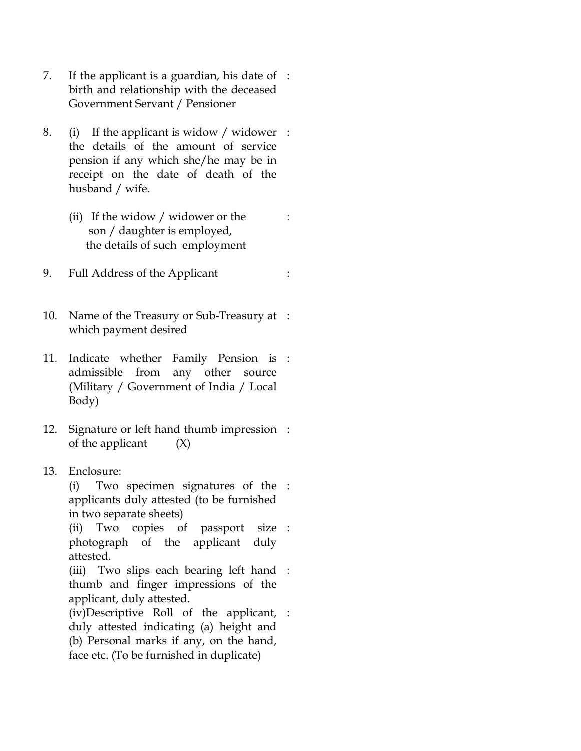- 7. If the applicant is a guardian, his date of : birth and relationship with the deceased Government Servant / Pensioner
- 8. (i) If the applicant is widow / widower : the details of the amount of service pension if any which she/he may be in receipt on the date of death of the husband / wife.
	- (ii) If the widow / widower or the son / daughter is employed, the details of such employment

:

- 9. Full Address of the Applicant :
- 10. Name of the Treasury or Sub-Treasury at : which payment desired
- 11. Indicate whether Family Pension is : admissible from any other source (Military / Government of India / Local Body)
- 12. Signature or left hand thumb impression : of the applicant  $(X)$
- 13. Enclosure:

(i) Two specimen signatures of the : applicants duly attested (to be furnished in two separate sheets)

(ii) Two copies of passport size : photograph of the applicant duly attested.

(iii) Two slips each bearing left hand : thumb and finger impressions of the applicant, duly attested.

(iv)Descriptive Roll of the applicant, : duly attested indicating (a) height and (b) Personal marks if any, on the hand, face etc. (To be furnished in duplicate)